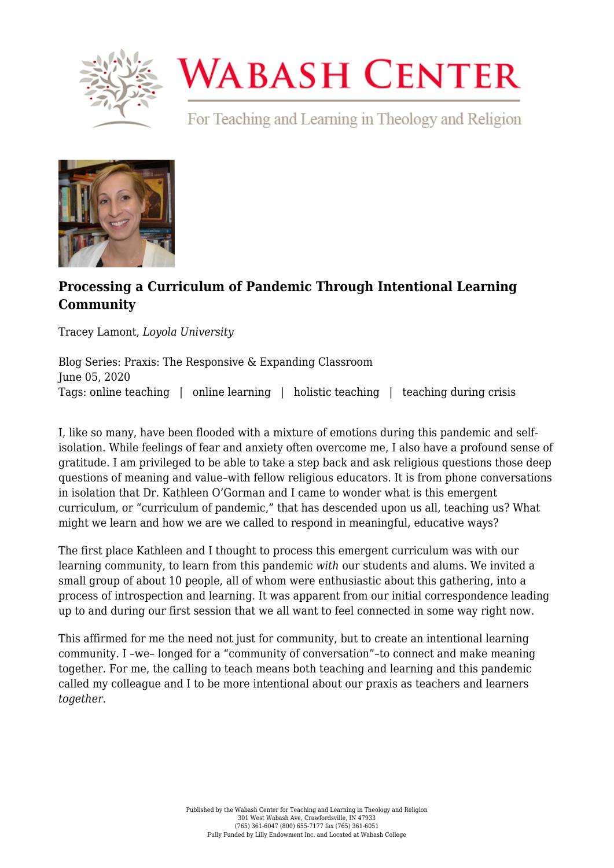

## **WABASH CENTER**

For Teaching and Learning in Theology and Religion



## **[Processing a Curriculum of Pandemic Through Intentional Learning](https://www.wabashcenter.wabash.edu/2020/06/processing-a-curriculum-of-pandemic-through-intentional-learning-community/) [Community](https://www.wabashcenter.wabash.edu/2020/06/processing-a-curriculum-of-pandemic-through-intentional-learning-community/)**

Tracey Lamont, *Loyola University*

Blog Series: Praxis: The Responsive & Expanding Classroom June 05, 2020 Tags: online teaching | online learning | holistic teaching | teaching during crisis

I, like so many, have been flooded with a mixture of emotions during this pandemic and selfisolation. While feelings of fear and anxiety often overcome me, I also have a profound sense of gratitude. I am privileged to be able to take a step back and ask religious questions those deep questions of meaning and value–with fellow religious educators. It is from phone conversations in isolation that Dr. Kathleen O'Gorman and I came to wonder what is this emergent curriculum, or "curriculum of pandemic," that has descended upon us all, teaching us? What might we learn and how we are we called to respond in meaningful, educative ways?

The first place Kathleen and I thought to process this emergent curriculum was with our learning community, to learn from this pandemic *with* our students and alums. We invited a small group of about 10 people, all of whom were enthusiastic about this gathering, into a process of introspection and learning. It was apparent from our initial correspondence leading up to and during our first session that we all want to feel connected in some way right now.

This affirmed for me the need not just for community, but to create an intentional learning community. I –we– longed for a "community of conversation"–to connect and make meaning together. For me, the calling to teach means both teaching and learning and this pandemic called my colleague and I to be more intentional about our praxis as teachers and learners *together*.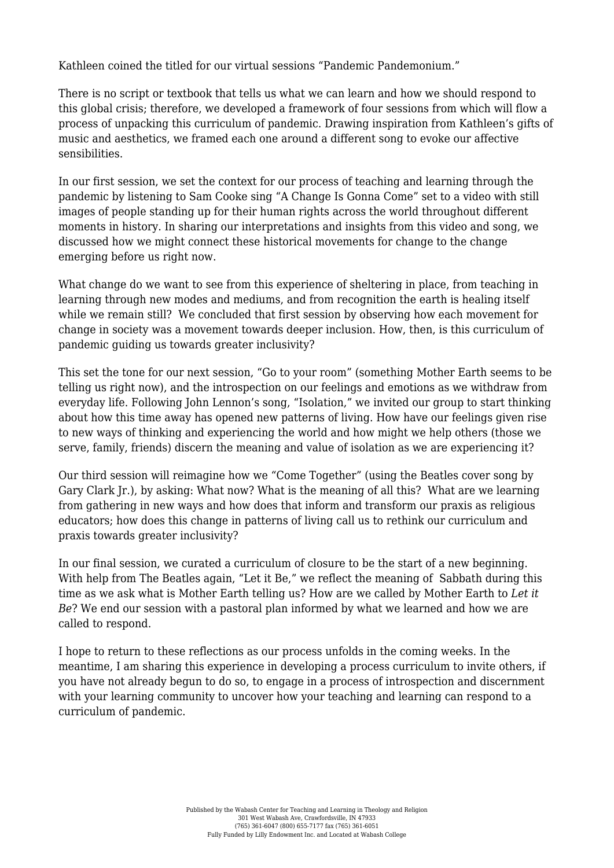Kathleen coined the titled for our virtual sessions "Pandemic Pandemonium."

There is no script or textbook that tells us what we can learn and how we should respond to this global crisis; therefore, we developed a framework of four sessions from which will flow a process of unpacking this curriculum of pandemic. Drawing inspiration from Kathleen's gifts of music and aesthetics, we framed each one around a different song to evoke our affective sensibilities.

In our first session, we set the context for our process of teaching and learning through the pandemic by listening to Sam Cooke sing ["A Change Is Gonna Come"](https://www.youtube.com/watch?v=wEBlaMOmKV4) set to a video with still images of people standing up for their human rights across the world throughout different moments in history. In sharing our interpretations and insights from this video and song, we discussed how we might connect these historical movements for change to the change emerging before us right now.

What change do we want to see from this experience of sheltering in place, from teaching in learning through new modes and mediums, and from recognition the earth is healing itself while we remain still? We concluded that first session by observing how each movement for change in society was a movement towards deeper inclusion. How, then, is this curriculum of pandemic guiding us towards greater inclusivity?

This set the tone for our next session, "Go to your room" (something Mother Earth seems to be telling us right now), and the introspection on our feelings and emotions as we withdraw from everyday life. Following John Lennon's song, "[Isolation](https://www.youtube.com/watch?v=flamkViSEJs&feature=youtu.be)," we invited our group to start thinking about how this time away has opened new patterns of living. How have our feelings given rise to new ways of thinking and experiencing the world and how might we help others (those we serve, family, friends) discern the meaning and value of isolation as we are experiencing it?

Our third session will reimagine how we ["Come Together"](https://www.youtube.com/watch?v=Kfpma1AUz5k) (using the Beatles cover song by Gary Clark Jr.), by asking: What now? What is the meaning of all this? What are we learning from gathering in new ways and how does that inform and transform our praxis as religious educators; how does this change in patterns of living call us to rethink our curriculum and praxis towards greater inclusivity?

In our final session, we curated a curriculum of closure to be the start of a new beginning. With help from The Beatles again, ["Let it Be,"](https://www.youtube.com/watch?v=HZqU1l2rexs&feature=youtu.be) we reflect the meaning of Sabbath during this time as we ask what is Mother Earth telling us? How are we called by Mother Earth to *Let it Be*? We end our session with a pastoral plan informed by what we learned and how we are called to respond.

I hope to return to these reflections as our process unfolds in the coming weeks. In the meantime, I am sharing this experience in developing a process curriculum to invite others, if you have not already begun to do so, to engage in a process of introspection and discernment with your learning community to uncover how your teaching and learning can respond to a curriculum of pandemic.